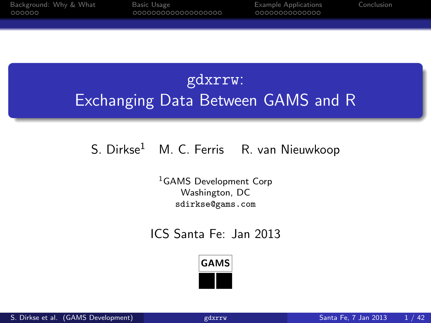# gdxrrw: Exchanging Data Between GAMS and R

#### S. Dirkse<sup>1</sup> M. C. Ferris R. van Nieuwkoop

<sup>1</sup>GAMS Development Corp Washington, DC sdirkse@gams.com

#### ICS Santa Fe: Jan 2013

<span id="page-0-0"></span>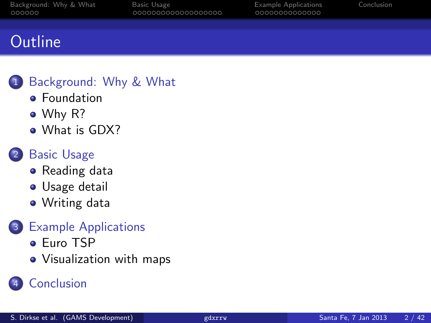# **Outline**

#### [Background: Why & What](#page-2-0)

- **•** [Foundation](#page-2-0)
- [Why R?](#page-3-0)
- [What is GDX?](#page-6-0)

#### 2 [Basic Usage](#page-8-0)

- [Reading data](#page-8-0)
- **•** [Usage detail](#page-9-0)
- [Writing data](#page-25-0)

#### 3 [Example Applications](#page-27-0)

- [Euro TSP](#page-27-0)
- [Visualization with maps](#page-33-0)

### **[Conclusion](#page-41-0)**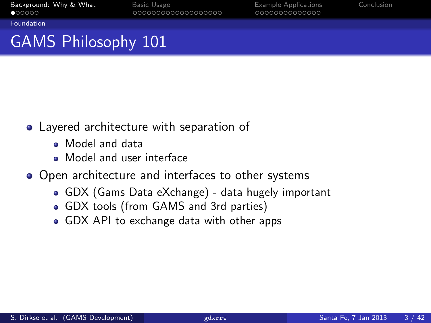<span id="page-2-0"></span>

[Foundation](#page-2-0)

# GAMS Philosophy 101

- Layered architecture with separation of
	- Model and data
	- Model and user interface
- Open architecture and interfaces to other systems
	- GDX (Gams Data eXchange) data hugely important
	- GDX tools (from GAMS and 3rd parties)
	- GDX API to exchange data with other apps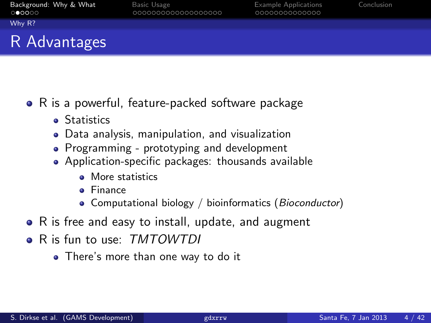<span id="page-3-0"></span>

[Why R?](#page-3-0)

## R Advantages

- R is a powerful, feature-packed software package
	- **•** Statistics
	- Data analysis, manipulation, and visualization
	- Programming prototyping and development
	- Application-specific packages: thousands available
		- More statistics
		- Finance
		- Computational biology / bioinformatics (Bioconductor)
- R is free and easy to install, update, and augment
- R is fun to use: TMTOWTDI
	- There's more than one way to do it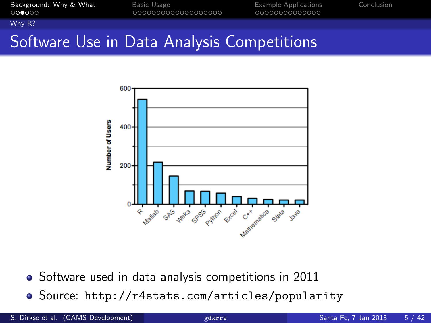<span id="page-4-0"></span>

[Why R?](#page-4-0)

# Software Use in Data Analysis Competitions



• Software used in data analysis competitions in 2011

Source: <http://r4stats.com/articles/popularity>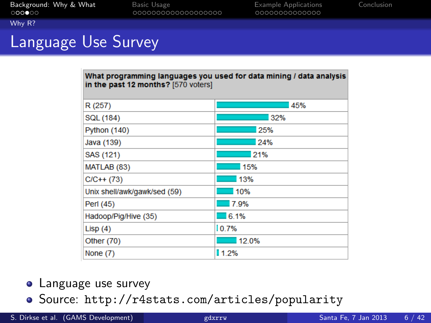<span id="page-5-0"></span>

#### [Why R?](#page-5-0)

# Language Use Survey

| What programming languages you used for data mining / data analysis<br>in the past 12 months? [570 voters] |       |  |  |
|------------------------------------------------------------------------------------------------------------|-------|--|--|
| R (257)                                                                                                    | 45%   |  |  |
| SQL (184)                                                                                                  | 32%   |  |  |
| <b>Python (140)</b>                                                                                        | 25%   |  |  |
| Java (139)                                                                                                 | 24%   |  |  |
| SAS (121)                                                                                                  | 21%   |  |  |
| MATLAB (83)                                                                                                | 15%   |  |  |
| $C/C++$ (73)                                                                                               | 13%   |  |  |
| Unix shell/awk/gawk/sed (59)                                                                               | 10%   |  |  |
| Perl (45)                                                                                                  | 7.9%  |  |  |
| Hadoop/Pig/Hive (35)                                                                                       | 6.1%  |  |  |
| Lisp $(4)$                                                                                                 | 10.7% |  |  |
| Other (70)                                                                                                 | 12.0% |  |  |
| None $(7)$                                                                                                 | 1.2%  |  |  |

#### **•** Language use survey

Source: <http://r4stats.com/articles/popularity>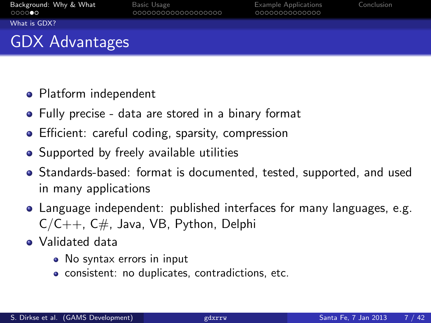0000000000000

<span id="page-6-0"></span>

[What is GDX?](#page-6-0)

# GDX Advantages

- Platform independent
- Fully precise data are stored in a binary format
- **•** Efficient: careful coding, sparsity, compression
- Supported by freely available utilities
- Standards-based: format is documented, tested, supported, and used in many applications
- Language independent: published interfaces for many languages, e.g.  $C/C++$ ,  $C#$ , Java, VB, Python, Delphi
- Validated data
	- No syntax errors in input
	- consistent: no duplicates, contradictions, etc.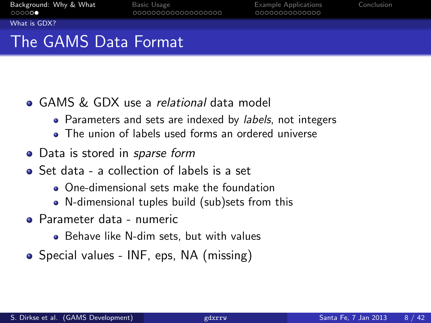0000000000000

<span id="page-7-0"></span>

[What is GDX?](#page-7-0)

# The GAMS Data Format

- GAMS & GDX use a relational data model
	- Parameters and sets are indexed by *labels*, not integers
	- The union of labels used forms an ordered universe
- Data is stored in *sparse form*
- Set data a collection of labels is a set
	- One-dimensional sets make the foundation
	- N-dimensional tuples build (sub)sets from this
- Parameter data numeric
	- Behave like N-dim sets, but with values
- Special values INF, eps, NA (missing)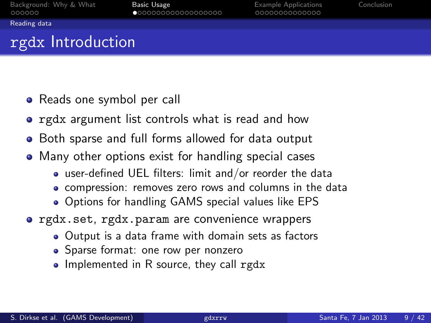<span id="page-8-0"></span>

[Reading data](#page-8-0)

# rgdx Introduction

- Reads one symbol per call
- **•** rgdx argument list controls what is read and how
- Both sparse and full forms allowed for data output
- Many other options exist for handling special cases
	- user-defined UEL filters: limit and/or reorder the data
	- compression: removes zero rows and columns in the data
	- Options for handling GAMS special values like EPS
- **o** rgdx.set, rgdx.param are convenience wrappers
	- Output is a data frame with domain sets as factors
	- Sparse format: one row per nonzero
	- Implemented in R source, they call rgdx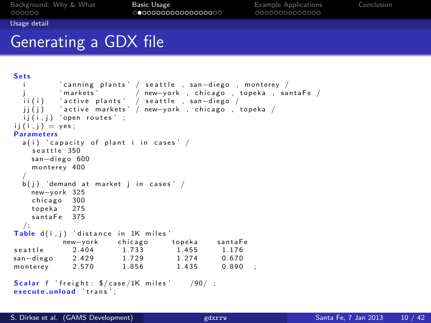<span id="page-9-0"></span>

[Usage detail](#page-9-0)

## Generating a GDX file

```
Sets
          i canning plants ' / seattle , san—diego , monterey / '<br>'markets '         / new—vork . chicago . topeka . sa'
                          / new-york , chicago , topeka , santaFe /
  ii(i) ′active plants' / seattle , san-diego /
  \overrightarrow{ii}\overrightarrow{i} ) \overrightarrow{i} active markets '/ new-york, chicago , topeka /
  ii (i, i) 'open routes' ;
ii (i \cdot i) = \text{ves}:
Parameters
  a(i) ' capacity of plant i in cases' /
    seattle 350
    san-diego 600
    monterey 400
  /
  b(i) 'demand at market i in cases' /
    new-vork 325
    chicago 300
    topeka 275
    \frac{1}{2}s anta\overline{5}e 375
  / ;
Table d(i, j) 'distance in 1K miles'<br>new-vork chicago topeka
             new-york chicago topeka santaFe<br>2.404 1.733 1.455 1.176
seattle 2.404 1.733 1.455 1.176
san-diego 2.429 1.729 1.274 0.670
monterey 2.570 1.856 1.435 0.890 :
Scalar f 'freight: \frac{5}{\cos \theta} /1K miles ' /90/;
execute_unload 'trans':
```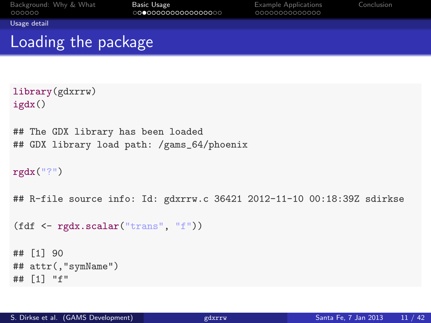<span id="page-10-0"></span>

[Usage detail](#page-10-0)

## Loading the package

```
library(gdxrrw)
igdx()
## The GDX library has been loaded
## GDX library load path: /gams_64/phoenix
rgdx("?")
## R-file source info: Id: gdxrrw.c 36421 2012-11-10 00:18:39Z sdirkse
(fdf <- rgdx.scalar("trans", "f"))
## [1] 90
## attr(,"symName")
## [1] "f"
```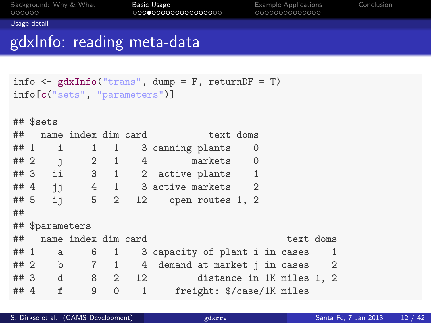<span id="page-11-0"></span>

[Usage detail](#page-11-0)

## gdxInfo: reading meta-data

```
info \leq gdxInfo("trans", dump = F, returnDF = T)
info[c("sets", "parameters")]
## $sets
## name index dim card text doms
## 1 i 1 1 3 canning plants 0
## 2 j 2 1 4 markets 0
## 3 ii 3 1 2 active plants 1
# # 4 j j 4 1 3 active markets 2 # 5 j 5 2 12 open routes 1, 2
## 5 ij 5 2 12 open routes 1, 2
##
## $parameters
## name index dim card text doms
## 1 a 6 1 3 capacity of plant i in cases 1
## 2 b 7 1 4 demand at market j in cases 2
                          distance in 1K miles 1, 2
## 4 f 9 0 1 freight: $/case/1K miles
```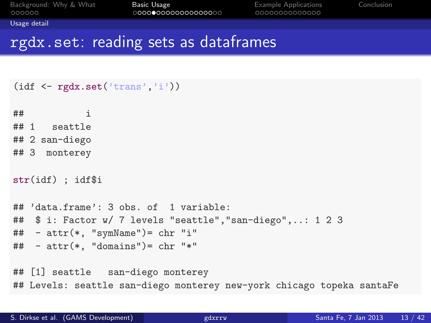<span id="page-12-0"></span>

[Usage detail](#page-12-0)

#### rgdx.set: reading sets as dataframes

```
(idf \leftarrow rgdx.set('trans', 'i'))\pm\texttt{\#} i
## 1 seattle
## 2 san-diego
## 3 monterey
str(idf) ; idf$i
## 'data.frame': 3 obs. of 1 variable:
## $ i: Factor w/ 7 levels "seattle","san-diego",..: 1 2 3
\# - attr(*, "symName") = chr "i"\# + attr(*, "domains")= chr "*"
## [1] seattle san-diego monterey
## Levels: seattle san-diego monterey new-york chicago topeka santaFe
```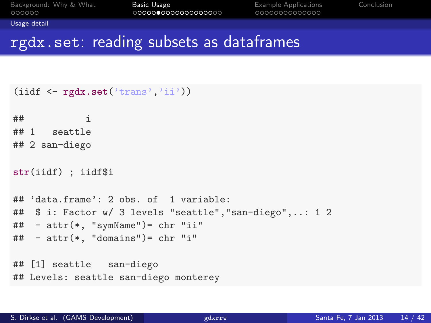<span id="page-13-0"></span>

[Usage detail](#page-13-0)

#### rgdx.set: reading subsets as dataframes

```
(iidf \leftarrow rgdx.set('trans','ii'))
\# \# \qquad \qquad \qquad \qquad \qquad \qquad \qquad \qquad \qquad \qquad \qquad \qquad \qquad \qquad \qquad \qquad \qquad \qquad \qquad \qquad \qquad \qquad \qquad \qquad \qquad \qquad \qquad \qquad \qquad \qquad \qquad \qquad \qquad \qquad \qquad ## 1 seattle
## 2 san-diego
str(iidf) ; iidf$i
## 'data.frame': 2 obs. of 1 variable:
## $ i: Factor w/ 3 levels "seattle","san-diego",..: 1 2
## - attr(*, "symName")= chr "ii"
\# - attr(*, "domains")= chr "i"
## [1] seattle san-diego
## Levels: seattle san-diego monterey
```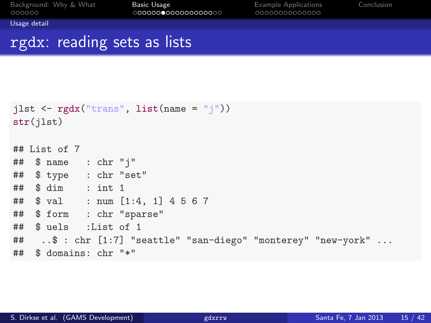<span id="page-14-0"></span>

[Usage detail](#page-14-0)

### rgdx: reading sets as lists

```
jlst \leftarrow rgdx("trans", list(name = "j"))
str(jlst)
## List of 7
## $ name : chr "j"
## $ type : chr "set"
## $ dim : int 1
## $ val : num [1:4, 1] 4 5 6 7
## $ form : chr "sparse"
## $ uels :List of 1
## ..$ : chr [1:7] "seattle" "san-diego" "monterey" "new-york" ...
## $ domains: chr "*"
```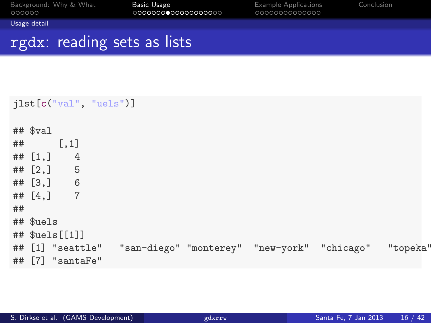<span id="page-15-0"></span>

[Usage detail](#page-15-0)

## rgdx: reading sets as lists

|    |                          |                  | jlst[c("val", "uels")] |  |                                                                       |  |
|----|--------------------------|------------------|------------------------|--|-----------------------------------------------------------------------|--|
|    | $##$ $val$<br>$##$ [, 1] |                  |                        |  |                                                                       |  |
|    | ## $[1, 1]$ 4            |                  |                        |  |                                                                       |  |
|    | ## [2, ] 5               |                  |                        |  |                                                                       |  |
|    | ## $[3, 3]$ 6            |                  |                        |  |                                                                       |  |
|    | ## $[4,]$ 7              |                  |                        |  |                                                                       |  |
| ## |                          |                  |                        |  |                                                                       |  |
|    | ## \$uels                |                  |                        |  |                                                                       |  |
|    |                          | ## $$uels[[1]]$  |                        |  |                                                                       |  |
|    |                          |                  |                        |  | ## [1] "seattle" "san-diego" "monterey" "new-york" "chicago" "topeka" |  |
|    |                          | ## [7] "santaFe" |                        |  |                                                                       |  |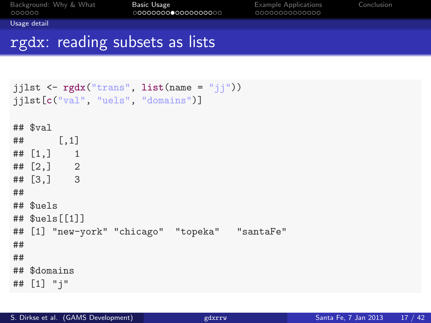<span id="page-16-0"></span>

[Usage detail](#page-16-0)

## rgdx: reading subsets as lists

```
jjlst \leftarrow rgdx("trans", list(name = "jj"))
jjlst[c("val", "uels", "domains")]
## $val
## [,1]
## [1,] 1
## [2,] 2
## [3,] 3
##
## $uels
## $uels[[1]]
## [1] "new-york" "chicago" "topeka" "santaFe"
##
##
## $domains
## [1] "j"
```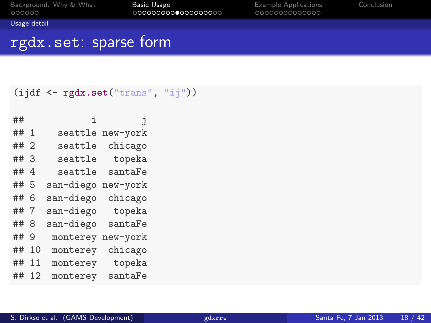<span id="page-17-0"></span>

[Usage detail](#page-17-0)

### rgdx.set: sparse form

```
(ijdf <- rgdx.set("trans", "ij"))
```

| ##   |     | i         | İ        |
|------|-----|-----------|----------|
| ## 1 |     | seattle   | new-york |
| ## 2 |     | seattle   | chicago  |
| ##3  |     | seattle   | topeka   |
| ##4  |     | seattle   | santaFe  |
| ##   | - 5 | san-diego | new-york |
| ##   | 6   | san-diego | chicago  |
| ##   | 7   | san-diego | topeka   |
| ##   | 8   | san-diego | santaFe  |
| ##   | 9   | monterey  | new-york |
| ##   | 10  | monterey  | chicago  |
| ##   | 11  | monterey  | topeka   |
| ##   | 12  | monterey  | santaFe  |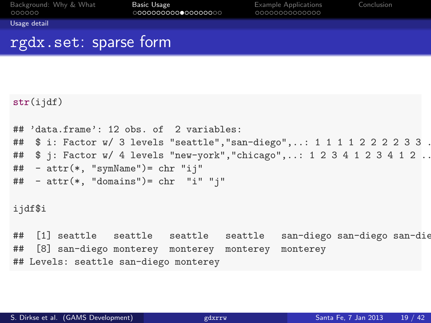<span id="page-18-0"></span>

[Usage detail](#page-18-0)

### rgdx.set: sparse form

```
str(iidf)## 'data.frame': 12 obs. of 2 variables:
## $ i: Factor w/ 3 levels "seattle", "san-diego", ..: 1 1 1 1 2 2 2 2 3 3 .
## $ j: Factor w/ 4 levels "new-york", "chicago",..: 1 2 3 4 1 2 3 4 1 2 ..
## - attr(*, "symName")= chr "ij"
\# - attr(*, "domains")= chr "i" "j"
ijdf$i
## [1] seattle seattle seattle seattle san-diego san-diego san-diego
## [8] san-diego monterey monterey monterey monterey
## Levels: seattle san-diego monterey
```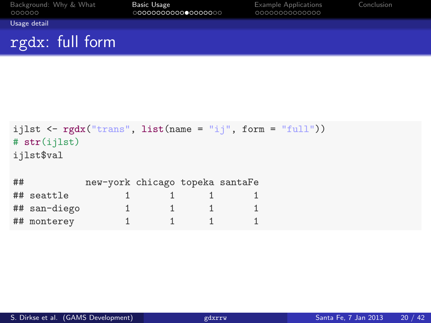| Background: Why & What<br>000000 | <b>Basic Usage</b><br>0000000000000000000 | <b>Example Applications</b><br>00000000000000 | Conclusion |
|----------------------------------|-------------------------------------------|-----------------------------------------------|------------|
| Usage detail                     |                                           |                                               |            |
| rgdx: full form                  |                                           |                                               |            |

```
ijlst \leftarrow rgdx("trans", list(name = "ij", form = "full"))
# str(ijlst)
ijlst$val
## new-york chicago topeka santaFe
## seattle 1 \t 1 \t 1 \t 1## san-diego 1 1 1 1
## monterey 1 1 1 1
```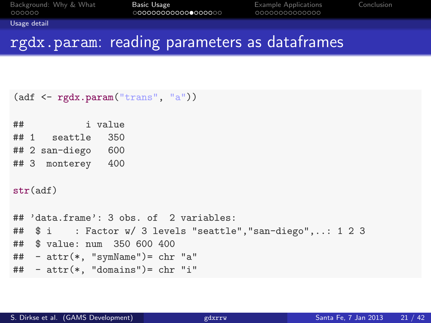<span id="page-20-0"></span>

[Usage detail](#page-20-0)

## rgdx.param: reading parameters as dataframes

```
(adf <- rgdx.param("trans", "a"))
## i value
## 1 seattle 350
## 2 san-diego 600
## 3 monterey 400
str(adf)
## 'data.frame': 3 obs. of 2 variables:
## $ i : Factor w/ 3 levels "seattle","san-diego",..: 1 2 3
## $ value: num 350 600 400
## - attr(*, "symName")= chr "a"
\# - attr(*. "domains")= chr "i"
```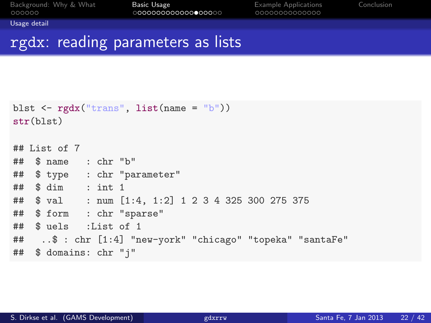<span id="page-21-0"></span>

[Usage detail](#page-21-0)

#### rgdx: reading parameters as lists

```
blst \leftarrow rgdx("trans", list(name = "b"))
str(blst)
## List of 7
## $ name : chr "b"
## $ type : chr "parameter"
## $ dim : int 1
## $ val : num [1:4, 1:2] 1 2 3 4 325 300 275 375
## $ form : chr "sparse"
## $ uels :List of 1
## ..$ : chr [1:4] "new-york" "chicago" "topeka" "santaFe"
## $ domains: chr "j"
```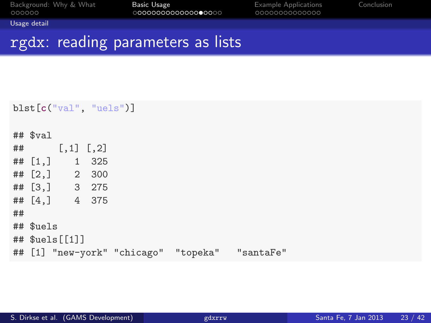| Background: Why & What |  |  |
|------------------------|--|--|
| 000000                 |  |  |

<span id="page-22-0"></span>

[Usage detail](#page-22-0)

## rgdx: reading parameters as lists

```
blst[c("val", "uels")]
## $val
\# [, 1] [, 2]
## [1,] 1 325
## [2,] 2 300
## [3,] 3 275
## [4,] 4 375
##
## $uels
## $uels[[1]]
## [1] "new-york" "chicago" "topeka" "santaFe"
```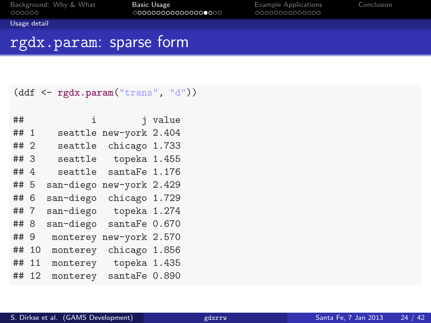<span id="page-23-0"></span>

[Usage detail](#page-23-0)

### rgdx.param: sparse form

#### (ddf <- rgdx.param("trans", "d"))

| ##   |    | i         | i.             | value |
|------|----|-----------|----------------|-------|
| ## 1 |    | seattle   | new-york 2.404 |       |
| ## 2 |    | seattle   | chicago 1.733  |       |
| ## 3 |    | seattle   | topeka 1.455   |       |
| ## 4 |    | seattle   | santaFe 1.176  |       |
| ## 5 |    | san-diego | new-york 2.429 |       |
| ## 6 |    | san-diego | chicago 1.729  |       |
| ## 7 |    | san-diego | topeka 1.274   |       |
| ## 8 |    | san-diego | santaFe 0.670  |       |
| ##   | 9  | monterey  | new-york 2.570 |       |
| ##   | 10 | monterey  | chicago 1.856  |       |
| ##   | 11 | monterey  | topeka 1.435   |       |
| ##   | 12 | monterey  | santaFe 0.890  |       |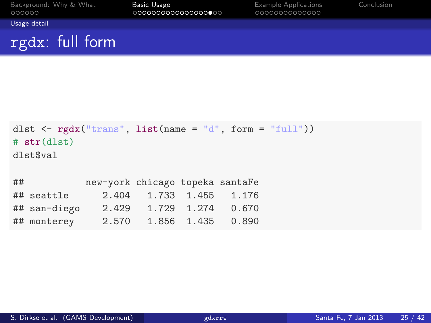| Background: Why & What<br>000000 | Basic Usage<br>0000000000000000000 | <b>Example Applications</b><br>00000000000000 | Conclusion |
|----------------------------------|------------------------------------|-----------------------------------------------|------------|
| Usage detail                     |                                    |                                               |            |
| rgdx: full form                  |                                    |                                               |            |

```
dlst \leq rgdx("trans", list(name = "d", form = "full"))
# str(dlst)
dlst$val
## new-york chicago topeka santaFe
## seattle 2.404 1.733 1.455 1.176
## san-diego 2.429 1.729 1.274 0.670
## monterey 2.570 1.856 1.435 0.890
```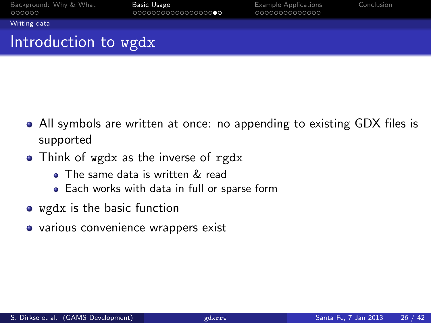<span id="page-25-0"></span>

[Writing data](#page-25-0)

# Introduction to wgdx

- All symbols are written at once: no appending to existing GDX files is supported
- Think of wgdx as the inverse of rgdx
	- The same data is written & read
	- Each works with data in full or sparse form
- wgdx is the basic function
- various convenience wrappers exist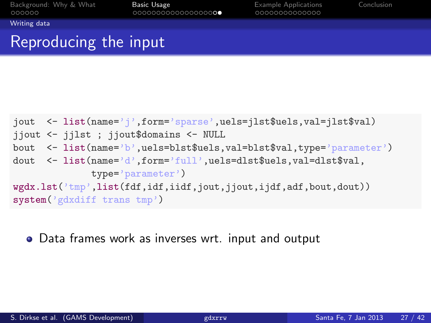<span id="page-26-0"></span>

[Writing data](#page-26-0)

## Reproducing the input

```
jout <- list(name='j',form='sparse',uels=jlst$uels,val=jlst$val)
jjout <- jjlst ; jjout$domains <- NULL
bout <- list(name='b',uels=blst$uels,val=blst$val,type='parameter')
dout <- list(name='d',form='full',uels=dlst$uels,val=dlst$val,
             type='parameter')
wgdx.lst('tmp',list(fdf,idf,iidf,jout,jjout,ijdf,adf,bout,dout))
system('gdxdiff trans tmp')
```
Data frames work as inverses wrt. input and output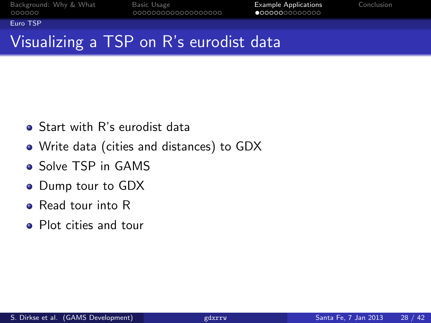<span id="page-27-0"></span>

[Euro TSP](#page-27-0)

# Visualizing a TSP on R's eurodist data

- **•** Start with R's eurodist data
- Write data (cities and distances) to GDX
- **o** Solve TSP in GAMS
- Dump tour to GDX
- **e** Read tour into R
- Plot cities and tour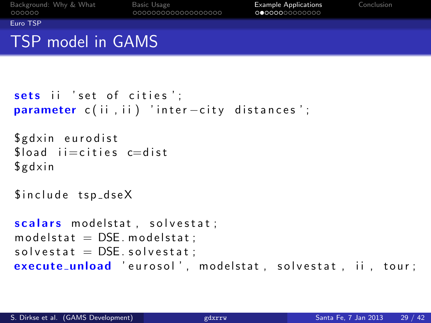<span id="page-28-0"></span>

[Euro TSP](#page-28-0)

## TSP model in GAMS

```
sets ii 'set of cities':
parameter c(ii, ii) 'inter-city distances';
```
\$ g d x in eurodist  $float$  i  $=$ cities c $=$ dist  $$ g dx in$ 

 $$$ include tsp\_dse $X$ 

```
scalars modelstat, solvestat;
modelstat = DSE. modelstat:
solved <b>set</b> at = <b>DSE</b>. solved <b>set</b> at :execute_unload 'eurosol', modelstat, solvestat, ii, tour;
```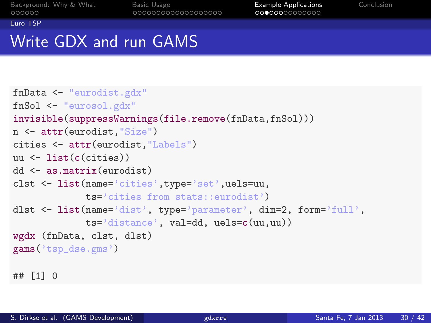<span id="page-29-0"></span>

[Euro TSP](#page-29-0)

# Write GDX and run GAMS

```
fnData <- "eurodist.gdx"
fnSol <- "eurosol.gdx"
invisible(suppressWarnings(file.remove(fnData,fnSol)))
n <- attr(eurodist,"Size")
cities <- attr(eurodist,"Labels")
uu <- list(c(cities))
dd <- as.matrix(eurodist)
clst <- list(name='cities',type='set',uels=uu,
             ts='cities from stats::eurodist')
dlst <- list(name='dist', type='parameter', dim=2, form='full',
             ts='distance', val=dd, uels=c(uu,uu))
wgdx (fnData, clst, dlst)
gams('tsp_dse.gms')
## [1] 0
```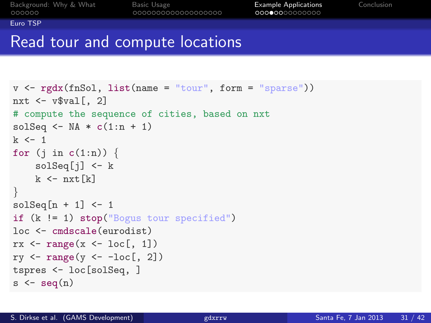<span id="page-30-0"></span>

[Euro TSP](#page-30-0)

## Read tour and compute locations

```
v \leftarrow \text{rgdx}(\text{fnSol}, \text{list}(\text{name} = "tour", \text{form} = "sparse"))nxt \leq - v$val [, 2]
# compute the sequence of cities, based on nxt
solSeq \leq NA \ast c(1:n + 1)
k < -1for (j in c(1:n)) {
     solSeq[j] <- k
    k \leftarrow nxt[k]}
solSeq[n + 1] <- 1
if (k != 1) stop("Bogus tour specified")
loc <- cmdscale(eurodist)
rx \leftarrow range(x \leftarrow loc[, 1])ry \leftarrow range(y \leftarrow -loc[, 2])tspres <- loc[solSeq, ]
s \leftarrow seq(n)
```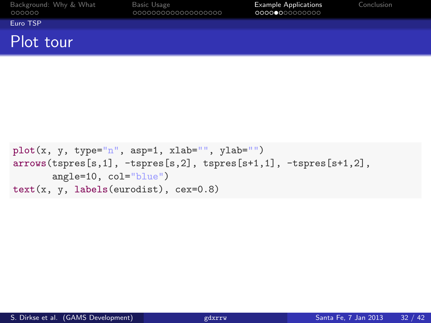| Background: Why & What |  |  |
|------------------------|--|--|
| 000000                 |  |  |

<span id="page-31-0"></span>

[Euro TSP](#page-31-0)

#### Plot tour

```
plot(x, y, type="n", asp=1, xlab="", ylab="")
arrows(tspres[s,1], -tspres[s,2], tspres[s+1,1], -tspres[s+1,2],
       angle=10, col="blue")
text(x, y, labels(eurodist), cex=0.8)
```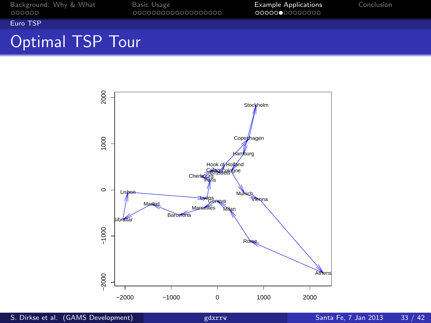<span id="page-32-0"></span>

#### [Euro TSP](#page-32-0)

# Optimal TSP Tour

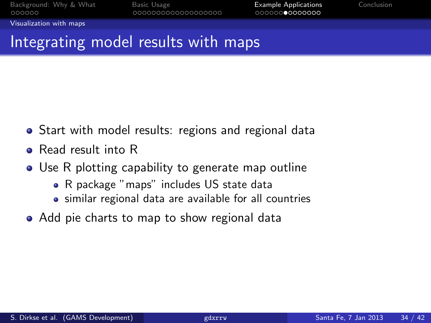<span id="page-33-0"></span>

[Visualization with maps](#page-33-0)

## Integrating model results with maps

- **•** Start with model results: regions and regional data
- **e** Read result into R
- Use R plotting capability to generate map outline
	- R package "maps" includes US state data
	- similar regional data are available for all countries
- Add pie charts to map to show regional data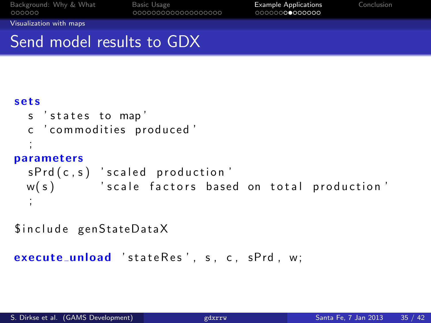<span id="page-34-0"></span>

[Visualization with maps](#page-34-0)

## Send model results to GDX

#### s e t s

```
s ' states to map'
 c ' commodities produced'
  ;
parameters
 sPrd(c, s) 'scaled production'
 w(s) 'scale factors based on total production'
  ;
```
\$include genStateDataX

```
execute_unload 'stateRes', s, c, sPrd, w:
```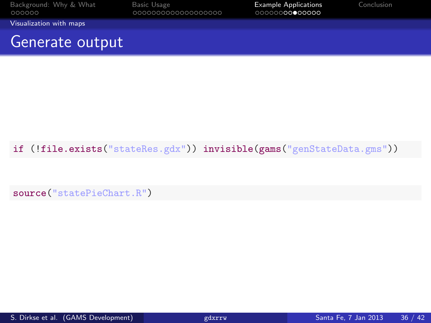| Background: Why & What<br>000000 | Basic Usage<br>000000000000000000 | <b>Example Applications</b><br>00000000●00000 | Conclusion |
|----------------------------------|-----------------------------------|-----------------------------------------------|------------|
| Visualization with maps          |                                   |                                               |            |
| Generate output                  |                                   |                                               |            |

#### if (!file.exists("stateRes.gdx")) invisible(gams("genStateData.gms"))

<span id="page-35-0"></span>source("statePieChart.R")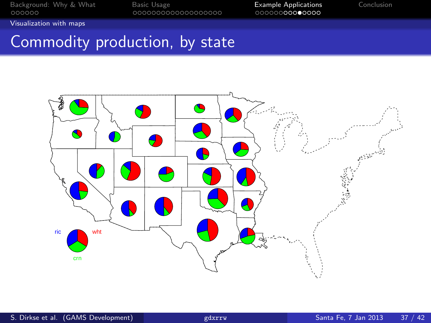<span id="page-36-0"></span>

[Visualization with maps](#page-36-0)

# Commodity production, by state

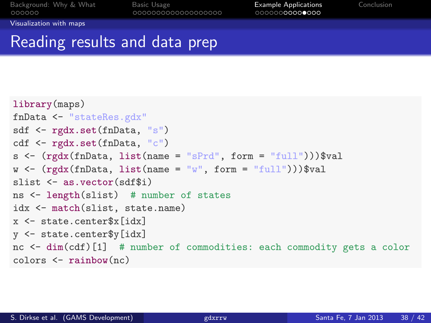[Background: Why & What](#page-2-0) [Basic Usage](#page-8-0) Basic Basic Usage Basic Basic Basic Basic Basic Basic Basic Basic Basic Basi<br>
Basic Usage Basic Usage Basic Usage Basic Basic Basic Basic Basic Basic Basic Basic Basic Basic Basic Basic B

<span id="page-37-0"></span>

[Visualization with maps](#page-37-0)

## Reading results and data prep

```
library(maps)
fnData <- "stateRes.gdx"
sdf <- rgdx.set(fnData, "s")
cdf <- rgdx.set(fnData, "c")
s <- (rgdx(fnData, list(name = "sPrd", form = "full"))) valw \leftarrow (rgdx(fnData, list(name = "w", form = "full")))$val
slist <- as.vector(sdf$i)
ns <- length(slist) # number of states
idx <- match(slist, state.name)
x <- state.center$x[idx]
y <- state.center$y[idx]
nc <- dim(cdf)[1] # number of commodities: each commodity gets a color
colors <- rainbow(nc)
```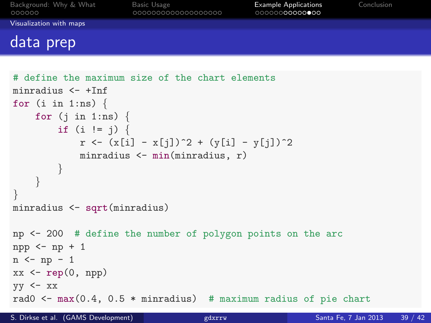| Background: Why & What<br>000000 | Basic Usage<br>000000000000000000 | <b>Example Applications</b><br>00000000000000 | Conclusion |
|----------------------------------|-----------------------------------|-----------------------------------------------|------------|
| Visualization with maps          |                                   |                                               |            |
| data prep                        |                                   |                                               |            |

```
# define the maximum size of the chart elements
minradius <- +Inf
for (i \text{ in } 1:\text{ns}) {
    for (j \in 1:n) {
         if (i != j) {
             r \leftarrow (x[i] - x[j])^2 + (y[i] - y[j])^2minradius <- min(minradius, r)
         }
    }
}
minradius <- sqrt(minradius)
np <- 200 # define the number of polygon points on the arc
npp \leftarrow np + 1n \leftarrow np - 1xx \leftarrow rep(0, npp)yy \leq -xxrad0 \le max(0.4, 0.5 * minradius) # maximum radius of pie chart
```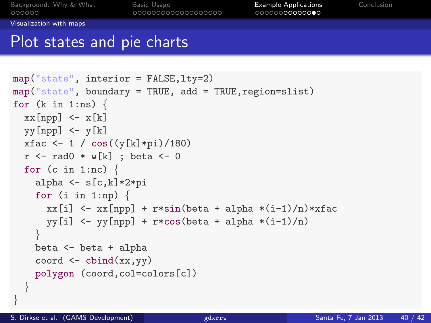<span id="page-39-0"></span>

[Visualization with maps](#page-39-0)

### Plot states and pie charts

```
map("state", interior = FALSE,lty=2)
map("state", boundary = TRUE, add = TRUE, region = slist)for (k \in \{1:n\}) {
  xx[npp] < - x[k]yy[npp] < -y[k]xfac \leftarrow 1 / cos((y[k]*pi)/180)
  r \leq - \text{rad0} \cdot w[k] ; beta \leq -0for (c in 1:nc) \{alpha \leq s[c,k]*2*pifor (i in 1:np) \{xx[i] \leftarrow xx[npp] + r*sin(beta + alpha * (i-1)/n) * xfacvy[i] < - yy[npp] + r*cos(beta + alpha * (i-1)/n)}
    beta <- beta + alpha
     coord \leftarrow \text{cbind}(xx, yy)polygon (coord,col=colors[c])
  }
```
}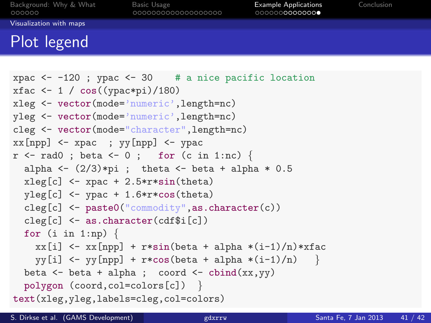<span id="page-40-0"></span>

[Visualization with maps](#page-40-0)

## Plot legend

```
xpac \leftarrow -120 ; ypac \leftarrow 30 # a nice pacific location
xfac \leftarrow 1 / cos((ypac*pi)/180)
xleg <- vector(mode='numeric',length=nc)
yleg <- vector(mode='numeric',length=nc)
cleg <- vector(mode="character",length=nc)
xx[npp] \leftarrow xpac; yy[npp] \leftarrow ypacr \leq - \text{rad0}; beta \leq -0; for (c \text{ in } 1:\text{nc}) {
  alpha \leftarrow (2/3)*pi ; theta \leftarrow beta + alpha * 0.5
  xleg[c] <- xpac + 2.5*r*sin(theta)yleg[c] <- ypac + 1.6*r * cos(theta)cleg[c] <- paste0("commodity",as.character(c))
  cleg[c] <- as.character(cdf$i[c])
  for (i \text{ in } 1:\text{np}) {
    xx[i] \leftarrow xx[npp] + r*sin(beta + alpha * (i-1)/n) * xfacvy[i] \leftarrow vy[np] + r * cos(beta + alpha * (i-1)/n)beta \leftarrow beta + alpha; coord \leftarrow cbind(xx,yy)
  polygon (coord,col=colors[c]) }
text(xleg,yleg,labels=cleg,col=colors)
```